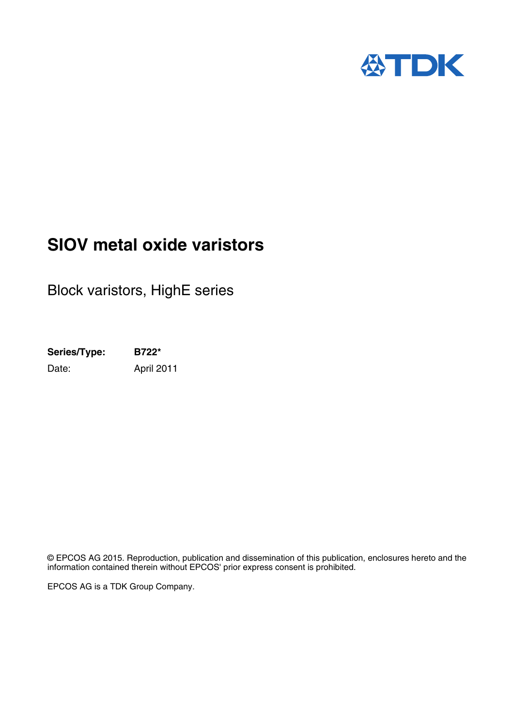

## **SIOV metal oxide varistors**

Block varistors, HighE series

**Series/Type: B722\*** Date: April 2011

© EPCOS AG 2015. Reproduction, publication and dissemination of this publication, enclosures hereto and the information contained therein without EPCOS' prior express consent is prohibited.

EPCOS AG is a TDK Group Company.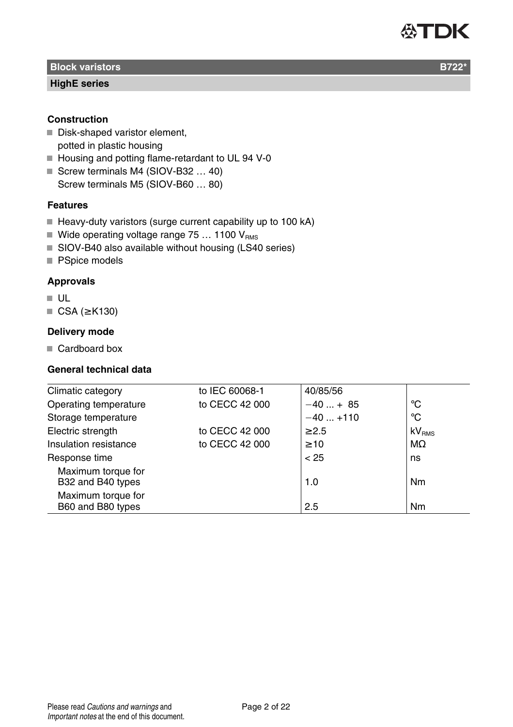#### **Block varistors B722\*** Block variations and the control of the control of the control of the B722\* B722\*

#### **HighE series**

#### **Construction**

- Disk-shaped varistor element. potted in plastic housing
- Housing and potting flame-retardant to UL 94 V-0
- Screw terminals M4 (SIOV-B32 ... 40) Screw terminals M5 (SIOV-B60 … 80)

#### **Features**

- Heavy-duty varistors (surge current capability up to 100 kA)
- Wide operating voltage range 75 ... 1100  $V_{RMS}$
- SIOV-B40 also available without housing (LS40 series)
- PSpice models

#### **Approvals**

- UL
- CSA (≥ K130)

#### **Delivery mode**

Cardboard box

#### **General technical data**

| Climatic category                       | to IEC 60068-1 | 40/85/56   |                   |
|-----------------------------------------|----------------|------------|-------------------|
| Operating temperature                   | to CECC 42 000 | $-40+85$   | °C                |
| Storage temperature                     |                | $-40+110$  | °C                |
| Electric strength                       | to CECC 42 000 | $\geq 2.5$ | kV <sub>RMS</sub> |
| Insulation resistance                   | to CECC 42 000 | $\geq 10$  | $M\Omega$         |
| Response time                           |                | < 25       | ns                |
| Maximum torque for<br>B32 and B40 types |                | 1.0        | Nm                |
| Maximum torque for<br>B60 and B80 types |                | 2.5        | Nm                |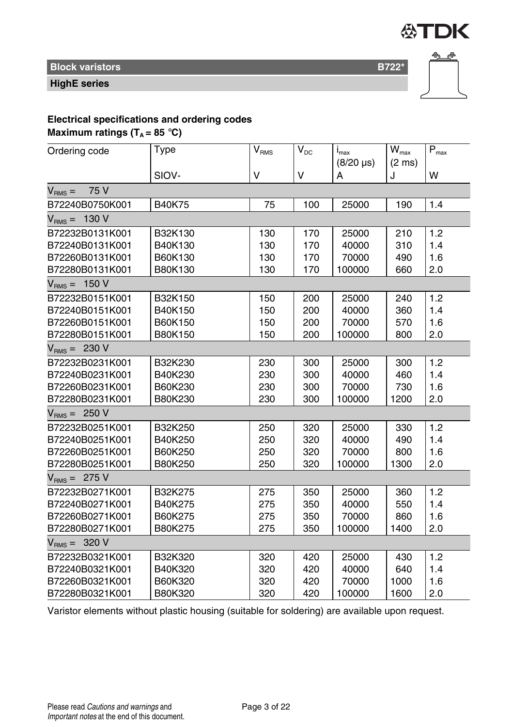

**Block varistors B722\*** Block variations and the state of the state of the B722<sup>\*</sup>

**HighE series**



### **Electrical specifications and ordering codes**

**Maximum ratings (** $T_A = 85$  **°C)** 

| Ordering code        | Type    | $\mathsf{V}_{\mathsf{RMS}}$ | $\rm V_{\rm DC}$ | $I_{\text{max}}$<br>$(8/20 \,\mu s)$ | $\mathsf{W}_{\max}$<br>$(2 \text{ ms})$ | $\mathsf{P}_{\mathsf{max}}$ |
|----------------------|---------|-----------------------------|------------------|--------------------------------------|-----------------------------------------|-----------------------------|
|                      | SIOV-   | v                           | $\vee$           | А                                    | J                                       | W                           |
| 75 V<br>$V_{RMS} =$  |         |                             |                  |                                      |                                         |                             |
| B72240B0750K001      | B40K75  | 75                          | 100              | 25000                                | 190                                     | 1.4                         |
| 130 V<br>$V_{RMS} =$ |         |                             |                  |                                      |                                         |                             |
| B72232B0131K001      | B32K130 | 130                         | 170              | 25000                                | 210                                     | 1.2                         |
| B72240B0131K001      | B40K130 | 130                         | 170              | 40000                                | 310                                     | 1.4                         |
| B72260B0131K001      | B60K130 | 130                         | 170              | 70000                                | 490                                     | 1.6                         |
| B72280B0131K001      | B80K130 | 130                         | 170              | 100000                               | 660                                     | 2.0                         |
| $VRMS = 150 V$       |         |                             |                  |                                      |                                         |                             |
| B72232B0151K001      | B32K150 | 150                         | 200              | 25000                                | 240                                     | 1.2                         |
| B72240B0151K001      | B40K150 | 150                         | 200              | 40000                                | 360                                     | 1.4                         |
| B72260B0151K001      | B60K150 | 150                         | 200              | 70000                                | 570                                     | 1.6                         |
| B72280B0151K001      | B80K150 | 150                         | 200              | 100000                               | 800                                     | 2.0                         |
| $V_{RMS} = 230 V$    |         |                             |                  |                                      |                                         |                             |
| B72232B0231K001      | B32K230 | 230                         | 300              | 25000                                | 300                                     | 1.2                         |
| B72240B0231K001      | B40K230 | 230                         | 300              | 40000                                | 460                                     | 1.4                         |
| B72260B0231K001      | B60K230 | 230                         | 300              | 70000                                | 730                                     | 1.6                         |
| B72280B0231K001      | B80K230 | 230                         | 300              | 100000                               | 1200                                    | 2.0                         |
| $VRMS = 250 V$       |         |                             |                  |                                      |                                         |                             |
| B72232B0251K001      | B32K250 | 250                         | 320              | 25000                                | 330                                     | 1.2                         |
| B72240B0251K001      | B40K250 | 250                         | 320              | 40000                                | 490                                     | 1.4                         |
| B72260B0251K001      | B60K250 | 250                         | 320              | 70000                                | 800                                     | 1.6                         |
| B72280B0251K001      | B80K250 | 250                         | 320              | 100000                               | 1300                                    | 2.0                         |
| $V_{RMS} = 275 V$    |         |                             |                  |                                      |                                         |                             |
| B72232B0271K001      | B32K275 | 275                         | 350              | 25000                                | 360                                     | 1.2                         |
| B72240B0271K001      | B40K275 | 275                         | 350              | 40000                                | 550                                     | 1.4                         |
| B72260B0271K001      | B60K275 | 275                         | 350              | 70000                                | 860                                     | 1.6                         |
| B72280B0271K001      | B80K275 | 275                         | 350              | 100000                               | 1400                                    | 2.0                         |
| $V_{RMS} = 320 V$    |         |                             |                  |                                      |                                         |                             |
| B72232B0321K001      | B32K320 | 320                         | 420              | 25000                                | 430                                     | 1.2                         |
| B72240B0321K001      | B40K320 | 320                         | 420              | 40000                                | 640                                     | 1.4                         |
| B72260B0321K001      | B60K320 | 320                         | 420              | 70000                                | 1000                                    | 1.6                         |
| B72280B0321K001      | B80K320 | 320                         | 420              | 100000                               | 1600                                    | 2.0                         |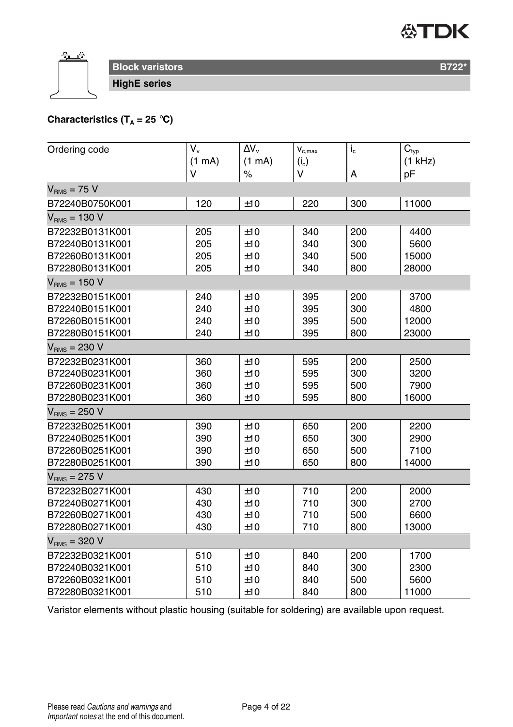

**Block varistors B722<sup>\*</sup> Block varistors B722<sup>\*</sup> HighE series**

### **Characteristics (T<sub>A</sub> = 25 °C)**

| Ordering code     | $V_{\rm v}$ | $\Delta V_{\rm v}$ | $\mathbf{V}_{\mathrm{c,max}}$ | $i_{\rm c}$ | $\overline{C}_{typ}$ |
|-------------------|-------------|--------------------|-------------------------------|-------------|----------------------|
|                   | (1 mA)      | (1 mA)             | $(i_c)$                       |             | $(1$ kHz)            |
|                   | $\vee$      | $\%$               | v                             | Α           | pF                   |
| $V_{RMS}$ = 75 V  |             |                    |                               |             |                      |
| B72240B0750K001   | 120         | ±10                | 220                           | 300         | 11000                |
| $VRMS = 130 V$    |             |                    |                               |             |                      |
| B72232B0131K001   | 205         | ±10                | 340                           | 200         | 4400                 |
| B72240B0131K001   | 205         | ±10                | 340                           | 300         | 5600                 |
| B72260B0131K001   | 205         | ±10                | 340                           | 500         | 15000                |
| B72280B0131K001   | 205         | ±10                | 340                           | 800         | 28000                |
| $VRMS = 150 V$    |             |                    |                               |             |                      |
| B72232B0151K001   | 240         | ±10                | 395                           | 200         | 3700                 |
| B72240B0151K001   | 240         | ±10                | 395                           | 300         | 4800                 |
| B72260B0151K001   | 240         | ±10                | 395                           | 500         | 12000                |
| B72280B0151K001   | 240         | ±10                | 395                           | 800         | 23000                |
| $V_{RMS} = 230 V$ |             |                    |                               |             |                      |
| B72232B0231K001   | 360         | ±10                | 595                           | 200         | 2500                 |
| B72240B0231K001   | 360         | ±10                | 595                           | 300         | 3200                 |
| B72260B0231K001   | 360         | ±10                | 595                           | 500         | 7900                 |
| B72280B0231K001   | 360         | ±10                | 595                           | 800         | 16000                |
| $V_{RMS} = 250 V$ |             |                    |                               |             |                      |
| B72232B0251K001   | 390         | ±10                | 650                           | 200         | 2200                 |
| B72240B0251K001   | 390         | ±10                | 650                           | 300         | 2900                 |
| B72260B0251K001   | 390         | ±10                | 650                           | 500         | 7100                 |
| B72280B0251K001   | 390         | ±10                | 650                           | 800         | 14000                |
| $V_{BMS}$ = 275 V |             |                    |                               |             |                      |
| B72232B0271K001   | 430         | ±10                | 710                           | 200         | 2000                 |
| B72240B0271K001   | 430         | ±10                | 710                           | 300         | 2700                 |
| B72260B0271K001   | 430         | ±10                | 710                           | 500         | 6600                 |
| B72280B0271K001   | 430         | ±10                | 710                           | 800         | 13000                |
| $VRMS = 320 V$    |             |                    |                               |             |                      |
| B72232B0321K001   | 510         | ±10                | 840                           | 200         | 1700                 |
| B72240B0321K001   | 510         | ±10                | 840                           | 300         | 2300                 |
| B72260B0321K001   | 510         | ±10                | 840                           | 500         | 5600                 |
| B72280B0321K001   | 510         | ±10                | 840                           | 800         | 11000                |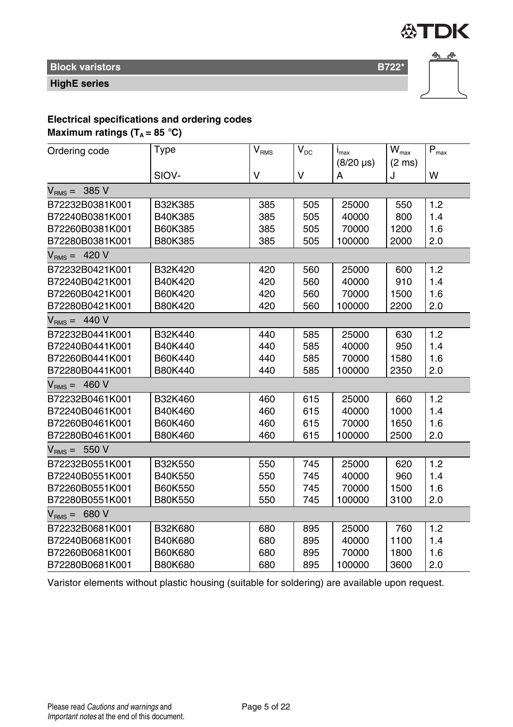

### **Block varistors B722\*** Block variations and the state of the state of the B722<sup>\*</sup>

**HighE series**



### **Electrical specifications and ordering codes**

**Maximum ratings (** $T_A = 85$  **°C)** 

| Ordering code     | Type    | $\mathsf{V}_{\mathsf{RMS}}$ | $\mathsf{V}_{\mathsf{DC}}$ | $I_{\text{max}}$ | $W_{\text{max}}$ | $\overline{\mathsf{P}}_{\mathsf{max}}$ |
|-------------------|---------|-----------------------------|----------------------------|------------------|------------------|----------------------------------------|
|                   |         |                             |                            | $(8/20 \,\mu s)$ | $(2 \text{ ms})$ |                                        |
|                   | SIOV-   | v                           | $\vee$                     | А                | J                | W                                      |
| $VRMS = 385 V$    |         |                             |                            |                  |                  |                                        |
| B72232B0381K001   | B32K385 | 385                         | 505                        | 25000            | 550              | 1.2                                    |
| B72240B0381K001   | B40K385 | 385                         | 505                        | 40000            | 800              | 1.4                                    |
| B72260B0381K001   | B60K385 | 385                         | 505                        | 70000            | 1200             | 1.6                                    |
| B72280B0381K001   | B80K385 | 385                         | 505                        | 100000           | 2000             | 2.0                                    |
| $VRMS = 420 V$    |         |                             |                            |                  |                  |                                        |
| B72232B0421K001   | B32K420 | 420                         | 560                        | 25000            | 600              | 1.2                                    |
| B72240B0421K001   | B40K420 | 420                         | 560                        | 40000            | 910              | 1.4                                    |
| B72260B0421K001   | B60K420 | 420                         | 560                        | 70000            | 1500             | 1.6                                    |
| B72280B0421K001   | B80K420 | 420                         | 560                        | 100000           | 2200             | 2.0                                    |
| $VRMS = 440 V$    |         |                             |                            |                  |                  |                                        |
| B72232B0441K001   | B32K440 | 440                         | 585                        | 25000            | 630              | 1.2                                    |
| B72240B0441K001   | B40K440 | 440                         | 585                        | 40000            | 950              | 1.4                                    |
| B72260B0441K001   | B60K440 | 440                         | 585                        | 70000            | 1580             | 1.6                                    |
| B72280B0441K001   | B80K440 | 440                         | 585                        | 100000           | 2350             | 2.0                                    |
| $V_{RMS} = 460 V$ |         |                             |                            |                  |                  |                                        |
| B72232B0461K001   | B32K460 | 460                         | 615                        | 25000            | 660              | 1.2                                    |
| B72240B0461K001   | B40K460 | 460                         | 615                        | 40000            | 1000             | 1.4                                    |
| B72260B0461K001   | B60K460 | 460                         | 615                        | 70000            | 1650             | 1.6                                    |
| B72280B0461K001   | B80K460 | 460                         | 615                        | 100000           | 2500             | 2.0                                    |
| $VRMS = 550 V$    |         |                             |                            |                  |                  |                                        |
| B72232B0551K001   | B32K550 | 550                         | 745                        | 25000            | 620              | 1.2                                    |
| B72240B0551K001   | B40K550 | 550                         | 745                        | 40000            | 960              | 1.4                                    |
| B72260B0551K001   | B60K550 | 550                         | 745                        | 70000            | 1500             | 1.6                                    |
| B72280B0551K001   | B80K550 | 550                         | 745                        | 100000           | 3100             | 2.0                                    |
| $V_{BMS} = 680 V$ |         |                             |                            |                  |                  |                                        |
| B72232B0681K001   | B32K680 | 680                         | 895                        | 25000            | 760              | 1.2                                    |
| B72240B0681K001   | B40K680 | 680                         | 895                        | 40000            | 1100             | 1.4                                    |
| B72260B0681K001   | B60K680 | 680                         | 895                        | 70000            | 1800             | 1.6                                    |
| B72280B0681K001   | B80K680 | 680                         | 895                        | 100000           | 3600             | 2.0                                    |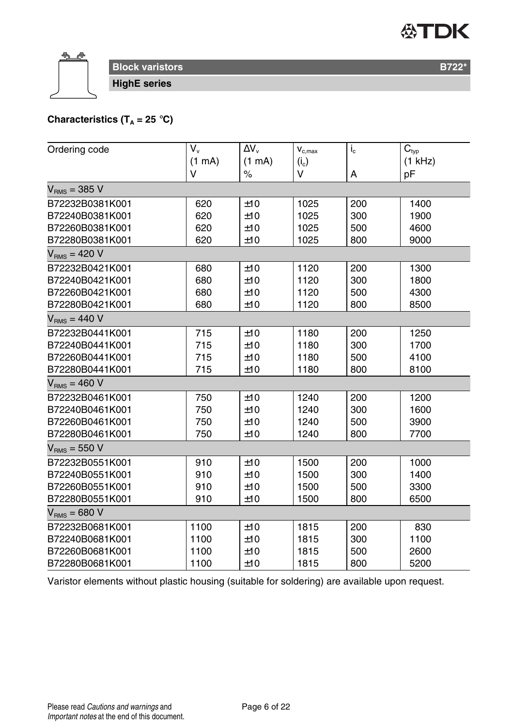

**Block varistors B722<sup>\*</sup> Block varistors B722<sup>\*</sup> HighE series**

**Characteristics (T<sub>A</sub> = 25 °C)** 

| Ordering code     | V.     | $\Delta V_{\rm v}$ | $\mathbf{V}_{\text{c,max}}$ | $i_{\rm c}$ | $C_{\text{typ}}$ |
|-------------------|--------|--------------------|-----------------------------|-------------|------------------|
|                   | (1 mA) | (1 mA)             | $(i_c)$                     |             | (1 kHz)          |
|                   | V      | $\%$               | v                           | А           | pF               |
| $VRMS = 385 V$    |        |                    |                             |             |                  |
| B72232B0381K001   | 620    | ±10                | 1025                        | 200         | 1400             |
| B72240B0381K001   | 620    | ±10                | 1025                        | 300         | 1900             |
| B72260B0381K001   | 620    | ±10                | 1025                        | 500         | 4600             |
| B72280B0381K001   | 620    | ±10                | 1025                        | 800         | 9000             |
| $VRMS = 420 V$    |        |                    |                             |             |                  |
| B72232B0421K001   | 680    | ±10                | 1120                        | 200         | 1300             |
| B72240B0421K001   | 680    | ±10                | 1120                        | 300         | 1800             |
| B72260B0421K001   | 680    | ±10                | 1120                        | 500         | 4300             |
| B72280B0421K001   | 680    | ±10                | 1120                        | 800         | 8500             |
| $VRMS = 440 V$    |        |                    |                             |             |                  |
| B72232B0441K001   | 715    | ±10                | 1180                        | 200         | 1250             |
| B72240B0441K001   | 715    | ±10                | 1180                        | 300         | 1700             |
| B72260B0441K001   | 715    | ±10                | 1180                        | 500         | 4100             |
| B72280B0441K001   | 715    | ±10                | 1180                        | 800         | 8100             |
| $V_{RMS} = 460 V$ |        |                    |                             |             |                  |
| B72232B0461K001   | 750    | ±10                | 1240                        | 200         | 1200             |
| B72240B0461K001   | 750    | ±10                | 1240                        | 300         | 1600             |
| B72260B0461K001   | 750    | ±10                | 1240                        | 500         | 3900             |
| B72280B0461K001   | 750    | ±10                | 1240                        | 800         | 7700             |
| $V_{RMS} = 550 V$ |        |                    |                             |             |                  |
| B72232B0551K001   | 910    | ±10                | 1500                        | 200         | 1000             |
| B72240B0551K001   | 910    | ±10                | 1500                        | 300         | 1400             |
| B72260B0551K001   | 910    | ±10                | 1500                        | 500         | 3300             |
| B72280B0551K001   | 910    | ±10                | 1500                        | 800         | 6500             |
| $VRMS = 680 V$    |        |                    |                             |             |                  |
| B72232B0681K001   | 1100   | ±10                | 1815                        | 200         | 830              |
| B72240B0681K001   | 1100   | ±10                | 1815                        | 300         | 1100             |
| B72260B0681K001   | 1100   | ±10                | 1815                        | 500         | 2600             |
| B72280B0681K001   | 1100   | ±10                | 1815                        | 800         | 5200             |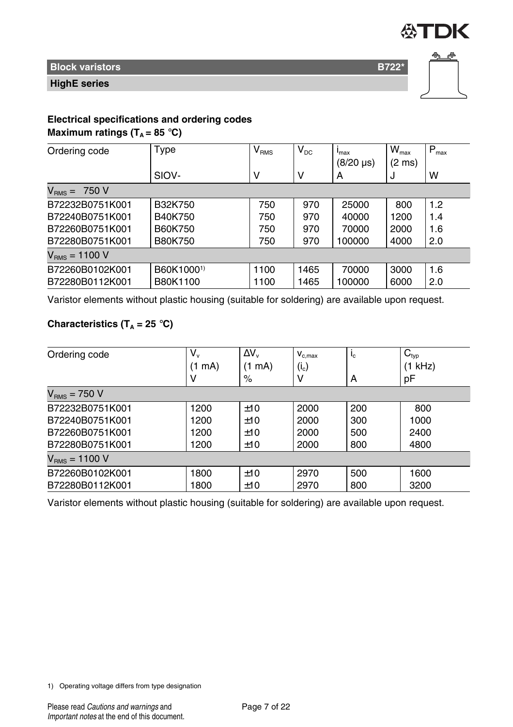

### **Block varistors B722\***

#### **HighE series**



## **Electrical specifications and ordering codes**

### **Maximum ratings (** $T_A = 85$  **°C)**

| Ordering code        | Type       | $\mathsf{V}_{\mathsf{RMS}}$ | $V_{DC}$ | $I_{\text{max}}$<br>$(8/20 \,\mu s)$ | $W_{\text{max}}$<br>(2 ms) | $P_{\text{max}}$ |
|----------------------|------------|-----------------------------|----------|--------------------------------------|----------------------------|------------------|
|                      | SIOV-      | ٧                           | v        | А                                    | J                          | W                |
| 750 V<br>$V_{RMS} =$ |            |                             |          |                                      |                            |                  |
| B72232B0751K001      | B32K750    | 750                         | 970      | 25000                                | 800                        | 1.2              |
| B72240B0751K001      | B40K750    | 750                         | 970      | 40000                                | 1200                       | 1.4              |
| B72260B0751K001      | B60K750    | 750                         | 970      | 70000                                | 2000                       | 1.6              |
| B72280B0751K001      | B80K750    | 750                         | 970      | 100000                               | 4000                       | 2.0              |
| $V_{RMS} = 1100 V$   |            |                             |          |                                      |                            |                  |
| B72260B0102K001      | B60K10001) | 1100                        | 1465     | 70000                                | 3000                       | 1.6              |
| B72280B0112K001      | B80K1100   | 1100                        | 1465     | 100000                               | 6000                       | 2.0              |

Varistor elements without plastic housing (suitable for soldering) are available upon request.

#### **Characteristics (T<sub>A</sub> = 25 °C)**

| Ordering code      | $V_{v}$ | $\Delta V_{\rm v}$ | $V_{c,max}$ | $I_{c}$ | $C_{typ}$ |
|--------------------|---------|--------------------|-------------|---------|-----------|
|                    | (1 mA)  | mA)<br>(1)         | $(i_c)$     |         | (1 kHz)   |
|                    |         | %                  | ٧           | A       | pF        |
| $VRMS = 750 V$     |         |                    |             |         |           |
| B72232B0751K001    | 1200    | ±10                | 2000        | 200     | 800       |
| B72240B0751K001    | 1200    | ±10                | 2000        | 300     | 1000      |
| B72260B0751K001    | 1200    | ±10                | 2000        | 500     | 2400      |
| B72280B0751K001    | 1200    | ±10                | 2000        | 800     | 4800      |
| $V_{RMS} = 1100 V$ |         |                    |             |         |           |
| B72260B0102K001    | 1800    | ±10                | 2970        | 500     | 1600      |
| B72280B0112K001    | 1800    | ±10                | 2970        | 800     | 3200      |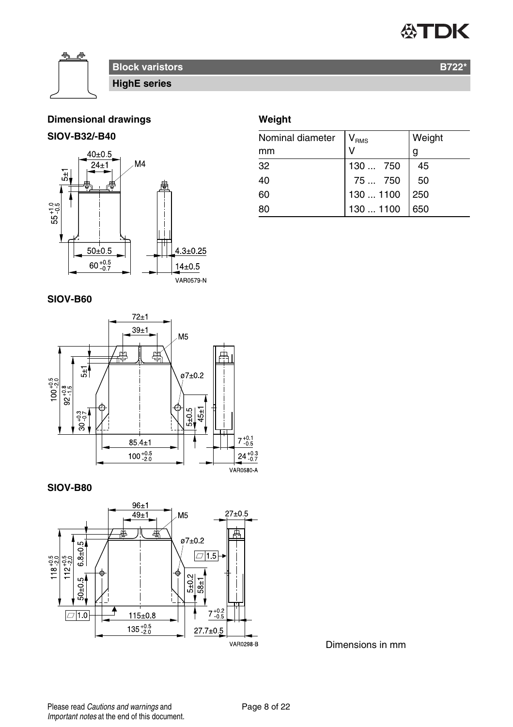

#### **Dimensional drawings**

#### **SIOV-B32/-B40**



### **Weight**

| Nominal diameter | V <sub>RMS</sub> | Weight |
|------------------|------------------|--------|
| mm               |                  | g      |
| 32               | 130750           | 45     |
| 40               | 75750            | 50     |
| 60               | 130  1100        | 250    |
| 80               | 130  1100        | 650    |

#### **SIOV-B60**



**SIOV-B80**



Dimensions in mm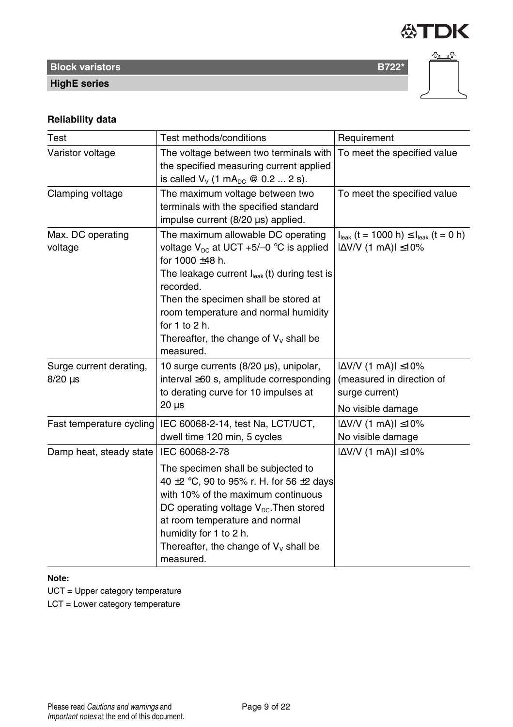

**Block varistors B722\*** Block variations and the state of the state of the B722<sup>\*</sup>



## **HighE series**

#### **Reliability data**

| Test                     | Test methods/conditions                            | Requirement                                                     |
|--------------------------|----------------------------------------------------|-----------------------------------------------------------------|
| Varistor voltage         | The voltage between two terminals with             | To meet the specified value                                     |
|                          | the specified measuring current applied            |                                                                 |
|                          | is called $V_v$ (1 mA <sub>pc</sub> @ 0.2  2 s).   |                                                                 |
| Clamping voltage         | The maximum voltage between two                    | To meet the specified value                                     |
|                          | terminals with the specified standard              |                                                                 |
|                          | impulse current (8/20 µs) applied.                 |                                                                 |
| Max. DC operating        | The maximum allowable DC operating                 | $I_{\text{leak}}$ (t = 1000 h) $\leq I_{\text{leak}}$ (t = 0 h) |
| voltage                  | voltage $V_{\text{nc}}$ at UCT +5/-0 °C is applied | $ \Delta$ V/V (1 mA) $ \leq$ 10%                                |
|                          | for 1000 ±48 h.                                    |                                                                 |
|                          | The leakage current lleak (t) during test is       |                                                                 |
|                          | recorded.                                          |                                                                 |
|                          | Then the specimen shall be stored at               |                                                                 |
|                          | room temperature and normal humidity               |                                                                 |
|                          | for $1$ to $2$ h.                                  |                                                                 |
|                          | Thereafter, the change of $V_v$ shall be           |                                                                 |
|                          | measured.                                          |                                                                 |
| Surge current derating,  | 10 surge currents (8/20 µs), unipolar,             | $ \Delta$ V/V (1 mA) $ \leq$ 10%                                |
| $8/20 \,\mu s$           | interval $\geq 60$ s, amplitude corresponding      | (measured in direction of                                       |
|                          | to derating curve for 10 impulses at               | surge current)                                                  |
|                          | $20 \mu s$                                         | No visible damage                                               |
| Fast temperature cycling | IEC 60068-2-14, test Na, LCT/UCT,                  | $ \Delta$ V/V (1 mA) $ \leq$ 10%                                |
|                          | dwell time 120 min, 5 cycles                       | No visible damage                                               |
| Damp heat, steady state  | IEC 60068-2-78                                     | $ \Delta$ V/V (1 mA) $ \leq$ 10%                                |
|                          | The specimen shall be subjected to                 |                                                                 |
|                          | 40 $\pm$ 2 °C, 90 to 95% r. H. for 56 $\pm$ 2 days |                                                                 |
|                          | with 10% of the maximum continuous                 |                                                                 |
|                          | DC operating voltage $V_{DC}$ . Then stored        |                                                                 |
|                          | at room temperature and normal                     |                                                                 |
|                          | humidity for 1 to 2 h.                             |                                                                 |
|                          | Thereafter, the change of $V_v$ shall be           |                                                                 |
|                          | measured.                                          |                                                                 |

#### **Note:**

UCT = Upper category temperature

LCT = Lower category temperature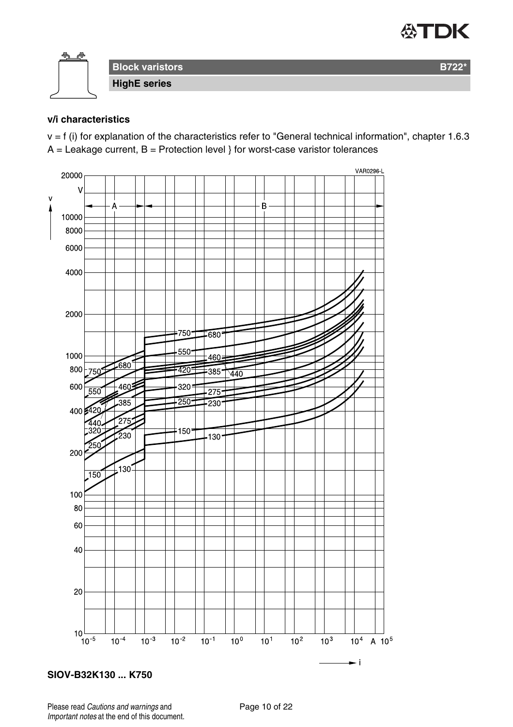



#### **v/i characteristics**

v = f (i) for explanation of the characteristics refer to "General technical information", chapter 1.6.3  $A =$  Leakage current,  $B =$  Protection level } for worst-case varistor tolerances



**SIOV-B32K130 ... K750**

Please read Cautions and warnings and <br>
Page 10 of 22 Important notes at the end of this document.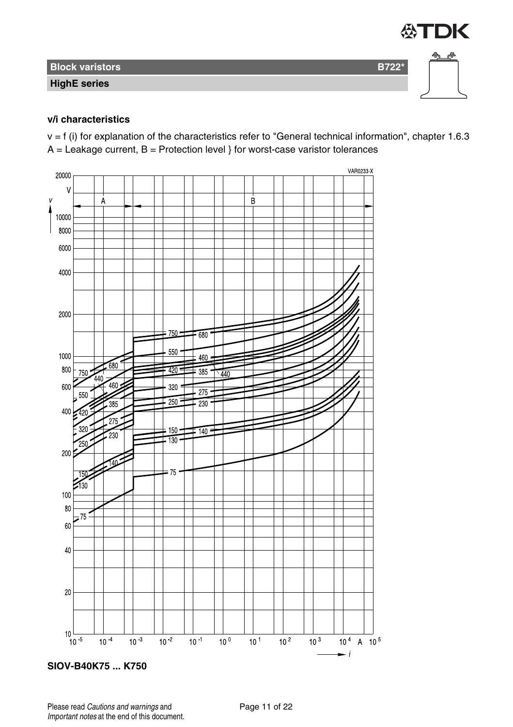

#### **v/i characteristics**

 $v = f$  (i) for explanation of the characteristics refer to "General technical information", chapter 1.6.3  $A =$  Leakage current,  $B =$  Protection level } for worst-case varistor tolerances

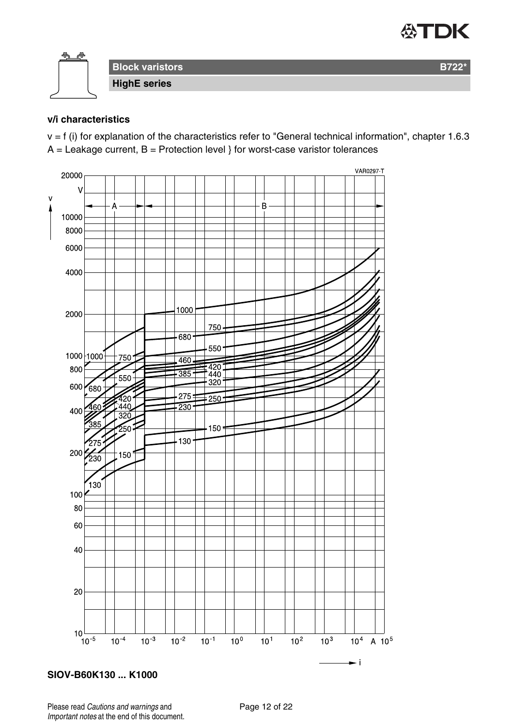## **公丁DK**



#### **v/i characteristics**

v = f (i) for explanation of the characteristics refer to "General technical information", chapter 1.6.3  $A =$  Leakage current,  $B =$  Protection level } for worst-case varistor tolerances



#### **SIOV-B60K130 ... K1000**

Please read Cautions and warnings and <br>
Page 12 of 22 Important notes at the end of this document.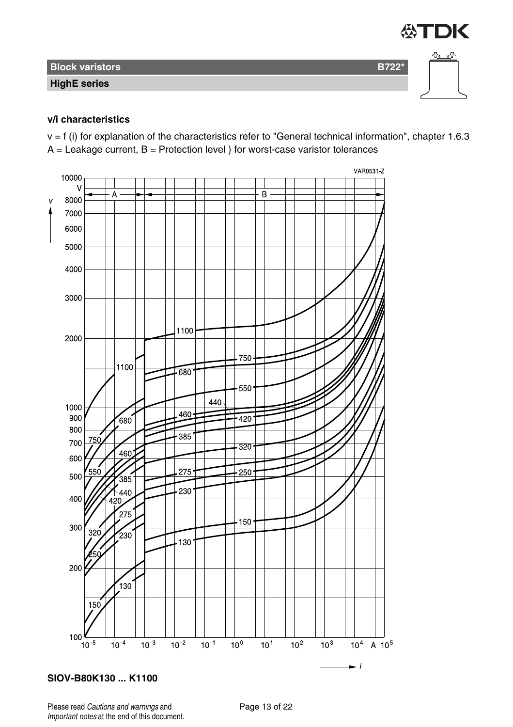

#### **v/i characteristics**

 $v = f$  (i) for explanation of the characteristics refer to "General technical information", chapter 1.6.3  $A =$  Leakage current,  $B =$  Protection level } for worst-case varistor tolerances



**SIOV-B80K130 ... K1100**

Please read Cautions and warnings and <br>
Page 13 of 22 Important notes at the end of this document.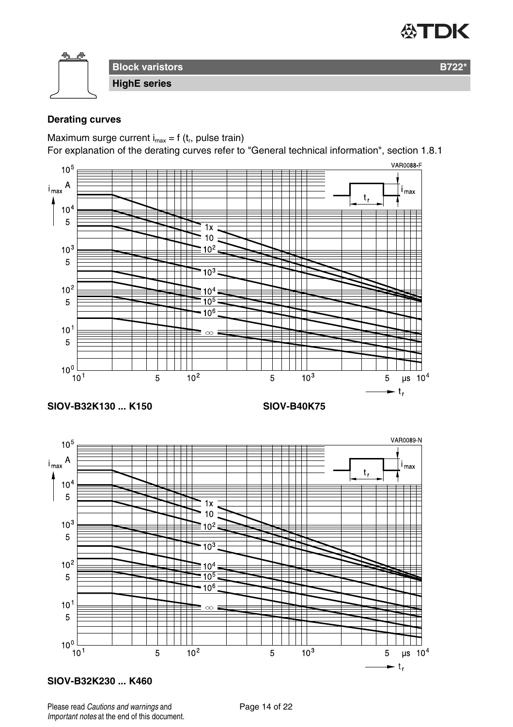

#### **Derating curves**

Maximum surge current  $i_{max} = f(t_r)$ , pulse train)

For explanation of the derating curves refer to "General technical information", section 1.8.1



#### **SIOV-B32K230 ... K460**

 $10<sup>1</sup>$ 

Please read Cautions and warnings and <br>
Page 14 of 22 Important notes at the end of this document.

5

 $10<sup>3</sup>$ 

 $\mu s$  10<sup>4</sup>

5  $-t_{r}$ 

 $10<sup>2</sup>$ 

5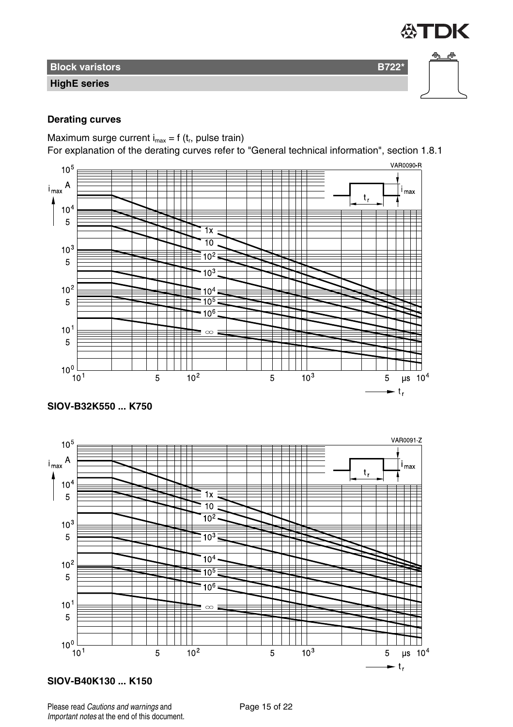

**Block varistors B722\* Brook varistors** 

**HighE series**

#### **Derating curves**

Maximum surge current  $i_{max} = f(t_r)$ , pulse train)

For explanation of the derating curves refer to "General technical information", section 1.8.1



**SIOV-B32K550 ... K750**



#### **SIOV-B40K130 ... K150**

Please read Cautions and warnings and <br>
Page 15 of 22 Important notes at the end of this document.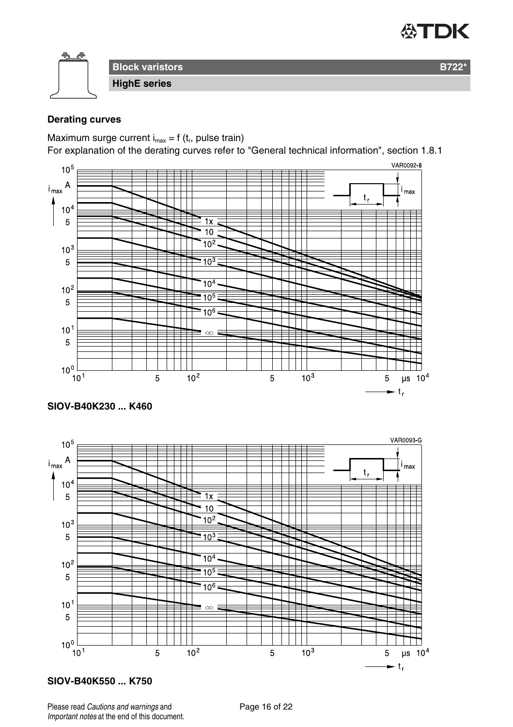

#### **Derating curves**

Maximum surge current  $i_{max} = f(t_r)$ , pulse train)

For explanation of the derating curves refer to "General technical information", section 1.8.1



#### **SIOV-B40K230 ... K460**



#### **SIOV-B40K550 ... K750**

Please read Cautions and warnings and <br>
Page 16 of 22 Important notes at the end of this document.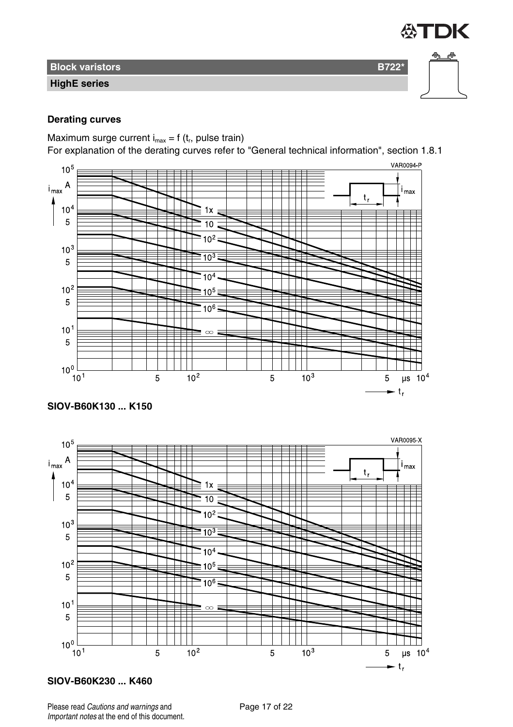

**Block varistors B722\* Brook varistors** 

**HighE series**

#### **Derating curves**

Maximum surge current  $i_{max} = f(t_r)$ , pulse train)

For explanation of the derating curves refer to "General technical information", section 1.8.1



**SIOV-B60K130 ... K150**



#### **SIOV-B60K230 ... K460**

Please read Cautions and warnings and <br>
Page 17 of 22 Important notes at the end of this document.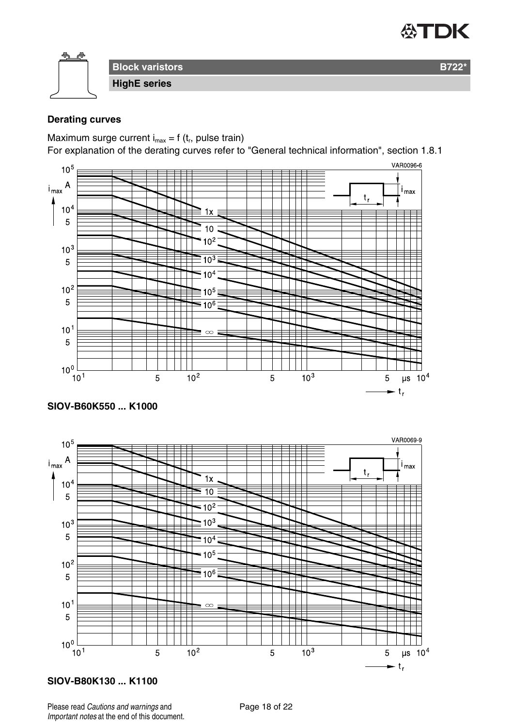

#### **Derating curves**

Maximum surge current  $i_{max} = f(t_r)$ , pulse train)

For explanation of the derating curves refer to "General technical information", section 1.8.1



#### **SIOV-B60K550 ... K1000**



#### **SIOV-B80K130 ... K1100**

Please read Cautions and warnings and <br>
Page 18 of 22 Important notes at the end of this document.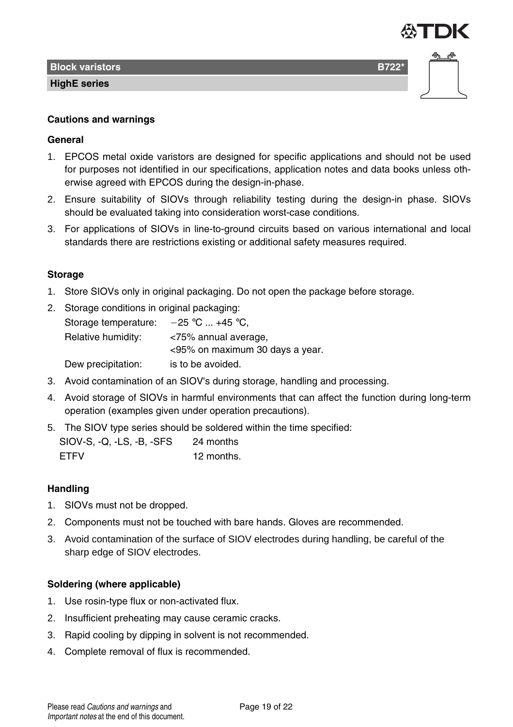

#### **Cautions and warnings**

#### **General**

- 1. EPCOS metal oxide varistors are designed for specific applications and should not be used for purposes not identified in our specifications, application notes and data books unless otherwise agreed with EPCOS during the design-in-phase.
- 2. Ensure suitability of SIOVs through reliability testing during the design-in phase. SIOVs should be evaluated taking into consideration worst-case conditions.
- 3. For applications of SIOVs in line-to-ground circuits based on various international and local standards there are restrictions existing or additional safety measures required.

#### **Storage**

- 1. Store SIOVs only in original packaging. Do not open the package before storage.
- 2. Storage conditions in original packaging:

| Storage temperature: | $-25$ °C  +45 °C.               |
|----------------------|---------------------------------|
| Relative humidity:   | <75% annual average,            |
|                      | <95% on maximum 30 days a year. |
| Dew precipitation:   | is to be avoided.               |

- 3. Avoid contamination of an SIOV's during storage, handling and processing.
- 4. Avoid storage of SIOVs in harmful environments that can affect the function during long-term operation (examples given under operation precautions).
- 5. The SIOV type series should be soldered within the time specified:

| SIOV-S, Q, LS, B, SFS | 24 months  |
|-----------------------|------------|
| <b>FTFV</b>           | 12 months. |

#### **Handling**

- 1. SIOVs must not be dropped.
- 2. Components must not be touched with bare hands. Gloves are recommended.
- 3. Avoid contamination of the surface of SIOV electrodes during handling, be careful of the sharp edge of SIOV electrodes.

#### **Soldering (where applicable)**

- 1. Use rosin-type flux or non-activated flux.
- 2. Insufficient preheating may cause ceramic cracks.
- 3. Rapid cooling by dipping in solvent is not recommended.
- 4. Complete removal of flux is recommended.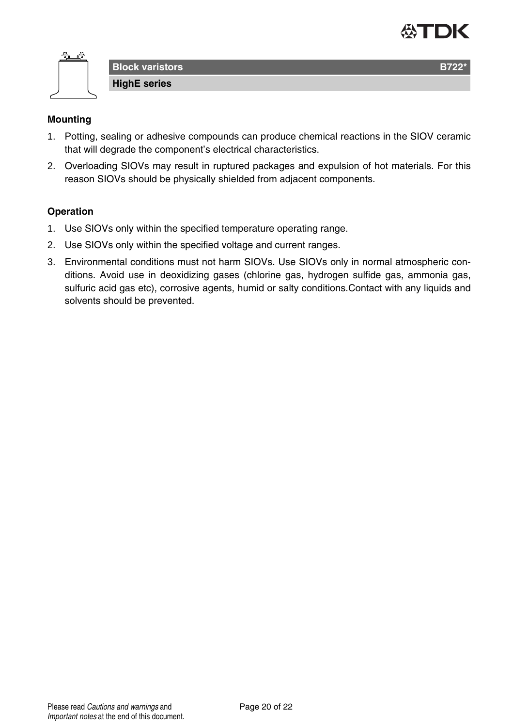



#### **Mounting**

- 1. Potting, sealing or adhesive compounds can produce chemical reactions in the SIOV ceramic that will degrade the component's electrical characteristics.
- 2. Overloading SIOVs may result in ruptured packages and expulsion of hot materials. For this reason SIOVs should be physically shielded from adjacent components.

#### **Operation**

- 1. Use SIOVs only within the specified temperature operating range.
- 2. Use SIOVs only within the specified voltage and current ranges.
- 3. Environmental conditions must not harm SIOVs. Use SIOVs only in normal atmospheric conditions. Avoid use in deoxidizing gases (chlorine gas, hydrogen sulfide gas, ammonia gas, sulfuric acid gas etc), corrosive agents, humid or salty conditions.Contact with any liquids and solvents should be prevented.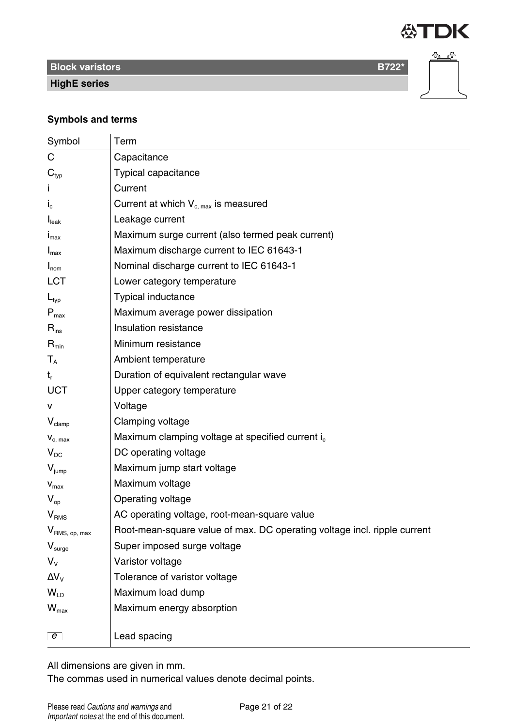

**Block varistors B722\*** 

**HighE series**



#### **Symbols and terms**

| Symbol                        | Term                                                                     |
|-------------------------------|--------------------------------------------------------------------------|
| С                             | Capacitance                                                              |
| $\mathbf{C}_{\text{typ}}$     | Typical capacitance                                                      |
|                               | Current                                                                  |
| $I_{c}$                       | Current at which $V_{c,max}$ is measured                                 |
| I <sub>leak</sub>             | Leakage current                                                          |
| $I_{\text{max}}$              | Maximum surge current (also termed peak current)                         |
| $I_{\text{max}}$              | Maximum discharge current to IEC 61643-1                                 |
| $I_{nom}$                     | Nominal discharge current to IEC 61643-1                                 |
| <b>LCT</b>                    | Lower category temperature                                               |
| $L_{typ}$                     | <b>Typical inductance</b>                                                |
| $\mathsf{P}_{\mathsf{max}}$   | Maximum average power dissipation                                        |
| $\mathsf{R}_{\mathsf{ins}}$   | Insulation resistance                                                    |
| $R_{\text{min}}$              | Minimum resistance                                                       |
| $T_A$                         | Ambient temperature                                                      |
| t,                            | Duration of equivalent rectangular wave                                  |
| UCT                           | Upper category temperature                                               |
| v                             | Voltage                                                                  |
| $V_{\text{clamp}}$            | Clamping voltage                                                         |
| $V_{c, max}$                  | Maximum clamping voltage at specified current i <sub>c</sub>             |
| $V_{DC}$                      | DC operating voltage                                                     |
| $V_{\text{jump}}$             | Maximum jump start voltage                                               |
| $V_{max}$                     | Maximum voltage                                                          |
| $V_{op}$                      | Operating voltage                                                        |
| V <sub>RMS</sub>              | AC operating voltage, root-mean-square value                             |
| V <sub>RMS, op, max</sub>     | Root-mean-square value of max. DC operating voltage incl. ripple current |
| $\mathsf{V}_{\mathsf{surge}}$ | Super imposed surge voltage                                              |
| V <sub>v</sub>                | Varistor voltage                                                         |
| $\Delta V_{\rm V}$            | Tolerance of varistor voltage                                            |
| $W_{\text{ID}}$               | Maximum load dump                                                        |
| $W_{\text{max}}$              | Maximum energy absorption                                                |
| $\boxed{e}$                   | Lead spacing                                                             |

All dimensions are given in mm.

The commas used in numerical values denote decimal points.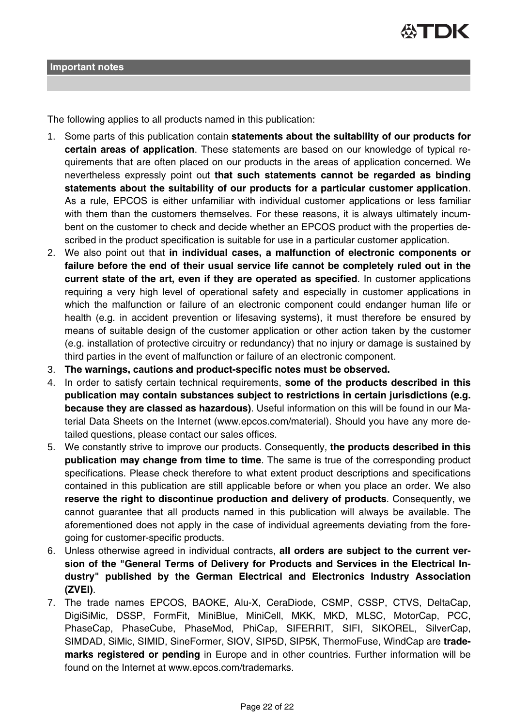The following applies to all products named in this publication:

- 1. Some parts of this publication contain **statements about the suitability of our products for certain areas of application**. These statements are based on our knowledge of typical requirements that are often placed on our products in the areas of application concerned. We nevertheless expressly point out **that such statements cannot be regarded as binding statements about the suitability of our products for a particular customer application**. As a rule, EPCOS is either unfamiliar with individual customer applications or less familiar with them than the customers themselves. For these reasons, it is always ultimately incumbent on the customer to check and decide whether an EPCOS product with the properties described in the product specification is suitable for use in a particular customer application.
- 2. We also point out that **in individual cases, a malfunction of electronic components or failure before the end of their usual service life cannot be completely ruled out in the current state of the art, even if they are operated as specified**. In customer applications requiring a very high level of operational safety and especially in customer applications in which the malfunction or failure of an electronic component could endanger human life or health (e.g. in accident prevention or lifesaving systems), it must therefore be ensured by means of suitable design of the customer application or other action taken by the customer (e.g. installation of protective circuitry or redundancy) that no injury or damage is sustained by third parties in the event of malfunction or failure of an electronic component.
- 3. **The warnings, cautions and product-specific notes must be observed.**
- 4. In order to satisfy certain technical requirements, **some of the products described in this publication may contain substances subject to restrictions in certain jurisdictions (e.g. because they are classed as hazardous)**. Useful information on this will be found in our Material Data Sheets on the Internet (www.epcos.com/material). Should you have any more detailed questions, please contact our sales offices.
- 5. We constantly strive to improve our products. Consequently, **the products described in this publication may change from time to time**. The same is true of the corresponding product specifications. Please check therefore to what extent product descriptions and specifications contained in this publication are still applicable before or when you place an order. We also **reserve the right to discontinue production and delivery of products**. Consequently, we cannot guarantee that all products named in this publication will always be available. The aforementioned does not apply in the case of individual agreements deviating from the foregoing for customer-specific products.
- 6. Unless otherwise agreed in individual contracts, **all orders are subject to the current version of the "General Terms of Delivery for Products and Services in the Electrical Industry" published by the German Electrical and Electronics Industry Association (ZVEI)**.
- 7. The trade names EPCOS, BAOKE, Alu-X, CeraDiode, CSMP, CSSP, CTVS, DeltaCap, DigiSiMic, DSSP, FormFit, MiniBlue, MiniCell, MKK, MKD, MLSC, MotorCap, PCC, PhaseCap, PhaseCube, PhaseMod, PhiCap, SIFERRIT, SIFI, SIKOREL, SilverCap, SIMDAD, SiMic, SIMID, SineFormer, SIOV, SIP5D, SIP5K, ThermoFuse, WindCap are **trademarks registered or pending** in Europe and in other countries. Further information will be found on the Internet at www.epcos.com/trademarks.